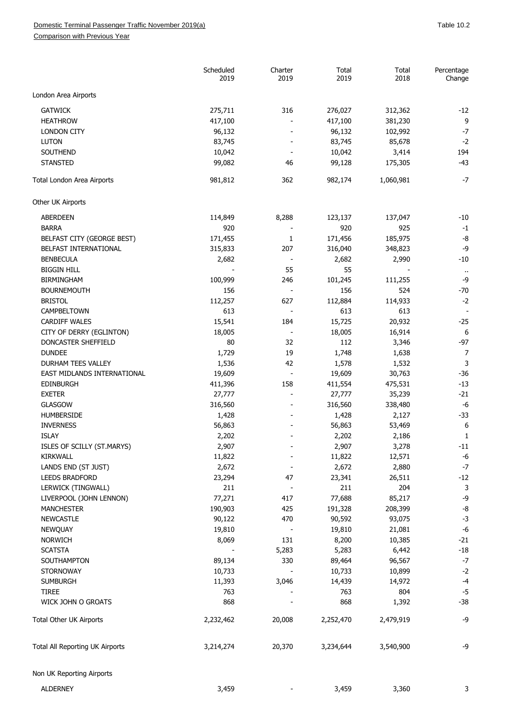Comparison with Previous Year

|                                 | Scheduled<br>2019 | Charter<br>2019              | Total<br>2019 | Total<br>2018 | Percentage<br>Change       |
|---------------------------------|-------------------|------------------------------|---------------|---------------|----------------------------|
| London Area Airports            |                   |                              |               |               |                            |
| <b>GATWICK</b>                  | 275,711           | 316                          | 276,027       | 312,362       | $-12$                      |
| <b>HEATHROW</b>                 | 417,100           |                              | 417,100       | 381,230       | 9                          |
| <b>LONDON CITY</b>              | 96,132            |                              | 96,132        | 102,992       | $-7$                       |
| <b>LUTON</b>                    | 83,745            |                              | 83,745        | 85,678        | $-2$                       |
| SOUTHEND                        | 10,042            |                              | 10,042        | 3,414         | 194                        |
| <b>STANSTED</b>                 | 99,082            | 46                           | 99,128        | 175,305       | $-43$                      |
| Total London Area Airports      | 981,812           | 362                          | 982,174       | 1,060,981     | $-7$                       |
| Other UK Airports               |                   |                              |               |               |                            |
| <b>ABERDEEN</b>                 | 114,849           | 8,288                        | 123,137       | 137,047       | $-10$                      |
| <b>BARRA</b>                    | 920               |                              | 920           | 925           | $-1$                       |
| BELFAST CITY (GEORGE BEST)      | 171,455           | 1                            | 171,456       | 185,975       | -8                         |
| BELFAST INTERNATIONAL           | 315,833           | 207                          | 316,040       | 348,823       | -9                         |
| <b>BENBECULA</b>                | 2,682             | $\overline{\phantom{a}}$     | 2,682         | 2,990         | $-10$                      |
| <b>BIGGIN HILL</b>              |                   | 55                           | 55            |               |                            |
|                                 |                   | 246                          |               |               | $\ddot{\phantom{1}}$<br>-9 |
| <b>BIRMINGHAM</b>               | 100,999           |                              | 101,245       | 111,255       |                            |
| <b>BOURNEMOUTH</b>              | 156               | $\blacksquare$               | 156           | 524           | $-70$                      |
| <b>BRISTOL</b>                  | 112,257           | 627                          | 112,884       | 114,933       | $-2$                       |
| CAMPBELTOWN                     | 613               |                              | 613           | 613           |                            |
| <b>CARDIFF WALES</b>            | 15,541            | 184                          | 15,725        | 20,932        | $-25$                      |
| CITY OF DERRY (EGLINTON)        | 18,005            | $\overline{\phantom{a}}$     | 18,005        | 16,914        | 6                          |
| DONCASTER SHEFFIELD             | 80                | 32                           | 112           | 3,346         | $-97$                      |
| <b>DUNDEE</b>                   | 1,729             | 19                           | 1,748         | 1,638         | $\overline{7}$             |
| DURHAM TEES VALLEY              | 1,536             | 42                           | 1,578         | 1,532         | 3                          |
| EAST MIDLANDS INTERNATIONAL     | 19,609            | $\overline{\phantom{a}}$     | 19,609        | 30,763        | $-36$                      |
| <b>EDINBURGH</b>                | 411,396           | 158                          | 411,554       | 475,531       | $-13$                      |
| <b>EXETER</b>                   | 27,777            | $\overline{\phantom{a}}$     | 27,777        | 35,239        | $-21$                      |
| <b>GLASGOW</b>                  | 316,560           |                              | 316,560       | 338,480       | $-6$                       |
| <b>HUMBERSIDE</b>               | 1,428             |                              | 1,428         | 2,127         | $-33$                      |
| <b>INVERNESS</b>                | 56,863            |                              | 56,863        | 53,469        | 6                          |
| <b>ISLAY</b>                    | 2,202             |                              | 2,202         | 2,186         | 1                          |
| ISLES OF SCILLY (ST.MARYS)      | 2,907             |                              | 2,907         | 3,278         | $-11$                      |
| <b>KIRKWALL</b>                 | 11,822            |                              | 11,822        | 12,571        | $-6$                       |
| LANDS END (ST JUST)             | 2,672             |                              | 2,672         | 2,880         | $-7$                       |
| <b>LEEDS BRADFORD</b>           | 23,294            | 47                           | 23,341        | 26,511        | $-12$                      |
| LERWICK (TINGWALL)              | 211               |                              | 211           | 204           | 3                          |
| LIVERPOOL (JOHN LENNON)         | 77,271            | 417                          | 77,688        | 85,217        | -9                         |
| <b>MANCHESTER</b>               | 190,903           | 425                          | 191,328       | 208,399       | -8                         |
| <b>NEWCASTLE</b>                | 90,122            | 470                          | 90,592        | 93,075        | $-3$                       |
| <b>NEWQUAY</b>                  | 19,810            |                              | 19,810        | 21,081        | $-6$                       |
| <b>NORWICH</b>                  | 8,069             | 131                          | 8,200         | 10,385        | $-21$                      |
| <b>SCATSTA</b>                  |                   | 5,283                        | 5,283         | 6,442         | $-18$                      |
| SOUTHAMPTON                     | 89,134            | 330                          | 89,464        | 96,567        | $-7$                       |
| <b>STORNOWAY</b>                | 10,733            | $\qquad \qquad \blacksquare$ | 10,733        | 10,899        | $-2$                       |
| <b>SUMBURGH</b>                 | 11,393            | 3,046                        | 14,439        | 14,972        | $-4$                       |
| <b>TIREE</b>                    | 763               |                              | 763           | 804           | $-5$                       |
| WICK JOHN O GROATS              | 868               |                              | 868           | 1,392         | $-38$                      |
| Total Other UK Airports         | 2,232,462         | 20,008                       | 2,252,470     | 2,479,919     | -9                         |
|                                 |                   |                              |               |               |                            |
| Total All Reporting UK Airports | 3,214,274         | 20,370                       | 3,234,644     | 3,540,900     | -9                         |
| Non UK Reporting Airports       |                   |                              |               |               |                            |
| <b>ALDERNEY</b>                 | 3,459             |                              | 3,459         | 3,360         | 3                          |